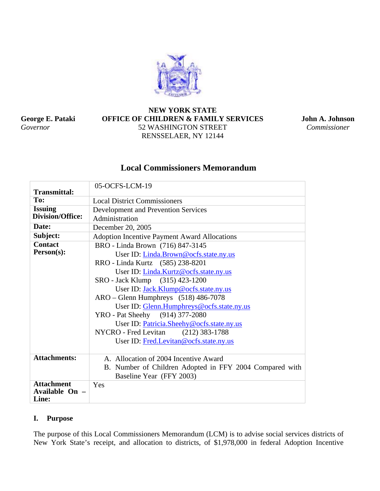

**George E. Pataki**  *Governor* 

# **NEW YORK STATE OFFICE OF CHILDREN & FAMILY SERVICES** 52 WASHINGTON STREET RENSSELAER, NY 12144

**John A. Johnson**  *Commissioner* 

# **Local Commissioners Memorandum**

| <b>Transmittal:</b>     | 05-OCFS-LCM-19                                          |
|-------------------------|---------------------------------------------------------|
| To:                     | <b>Local District Commissioners</b>                     |
| <b>Issuing</b>          | Development and Prevention Services                     |
| <b>Division/Office:</b> | Administration                                          |
| Date:                   | December 20, 2005                                       |
| Subject:                | <b>Adoption Incentive Payment Award Allocations</b>     |
| <b>Contact</b>          | BRO - Linda Brown (716) 847-3145                        |
| Person(s):              | User ID: Linda.Brown@ocfs.state.ny.us                   |
|                         | RRO - Linda Kurtz (585) 238-8201                        |
|                         | User ID: <i>Linda.Kurtz@ocfs.state.ny.us</i>            |
|                         | SRO - Jack Klump (315) 423-1200                         |
|                         | User ID: Jack.Klump@ocfs.state.ny.us                    |
|                         | ARO – Glenn Humphreys (518) 486-7078                    |
|                         | User ID: Glenn.Humphreys@ocfs.state.ny.us               |
|                         | YRO - Pat Sheehy (914) 377-2080                         |
|                         | User ID: Patricia.Sheehy@ocfs.state.ny.us               |
|                         | NYCRO - Fred Levitan<br>$(212)$ 383-1788                |
|                         | User ID: Fred.Levitan@ocfs.state.ny.us                  |
| <b>Attachments:</b>     | A. Allocation of 2004 Incentive Award                   |
|                         | B. Number of Children Adopted in FFY 2004 Compared with |
|                         | Baseline Year (FFY 2003)                                |
| <b>Attachment</b>       | Yes                                                     |
| Available On -          |                                                         |
| Line:                   |                                                         |

# **I. Purpose**

The purpose of this Local Commissioners Memorandum (LCM) is to advise social services districts of New York State's receipt, and allocation to districts, of \$1,978,000 in federal Adoption Incentive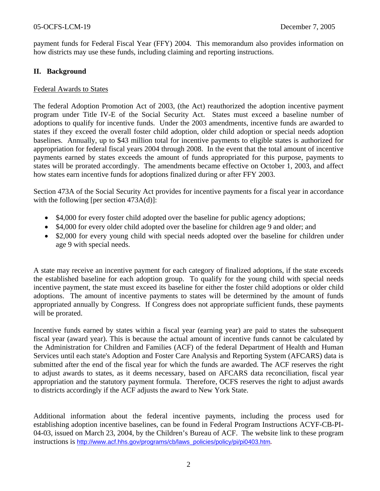payment funds for Federal Fiscal Year (FFY) 2004. This memorandum also provides information on how districts may use these funds, including claiming and reporting instructions.

# **II. Background**

#### Federal Awards to States

The federal Adoption Promotion Act of 2003, (the Act) reauthorized the adoption incentive payment program under Title IV-E of the Social Security Act. States must exceed a baseline number of adoptions to qualify for incentive funds. Under the 2003 amendments, incentive funds are awarded to states if they exceed the overall foster child adoption, older child adoption or special needs adoption baselines. Annually, up to \$43 million total for incentive payments to eligible states is authorized for appropriation for federal fiscal years 2004 through 2008. In the event that the total amount of incentive payments earned by states exceeds the amount of funds appropriated for this purpose, payments to states will be prorated accordingly. The amendments became effective on October 1, 2003, and affect how states earn incentive funds for adoptions finalized during or after FFY 2003.

Section 473A of the Social Security Act provides for incentive payments for a fiscal year in accordance with the following [per section 473A(d)]:

- \$4,000 for every foster child adopted over the baseline for public agency adoptions;
- \$4,000 for every older child adopted over the baseline for children age 9 and older; and
- \$2,000 for every young child with special needs adopted over the baseline for children under age 9 with special needs.

A state may receive an incentive payment for each category of finalized adoptions, if the state exceeds the established baseline for each adoption group. To qualify for the young child with special needs incentive payment, the state must exceed its baseline for either the foster child adoptions or older child adoptions. The amount of incentive payments to states will be determined by the amount of funds appropriated annually by Congress. If Congress does not appropriate sufficient funds, these payments will be prorated.

Incentive funds earned by states within a fiscal year (earning year) are paid to states the subsequent fiscal year (award year). This is because the actual amount of incentive funds cannot be calculated by the Administration for Children and Families (ACF) of the federal Department of Health and Human Services until each state's Adoption and Foster Care Analysis and Reporting System (AFCARS) data is submitted after the end of the fiscal year for which the funds are awarded. The ACF reserves the right to adjust awards to states, as it deems necessary, based on AFCARS data reconciliation, fiscal year appropriation and the statutory payment formula. Therefore, OCFS reserves the right to adjust awards to districts accordingly if the ACF adjusts the award to New York State.

Additional information about the federal incentive payments, including the process used for establishing adoption incentive baselines, can be found in Federal Program Instructions ACYF-CB-PI-04-03, issued on March 23, 2004, by the Children's Bureau of ACF. The website link to these program instructions is [http://www.acf.hhs.gov/programs/cb/laws\\_policies/policy/pi/pi0403.htm](http://www.acf.hhs.gov/programs/cb/laws_policies/policy/pi/pi0403.htm)**.**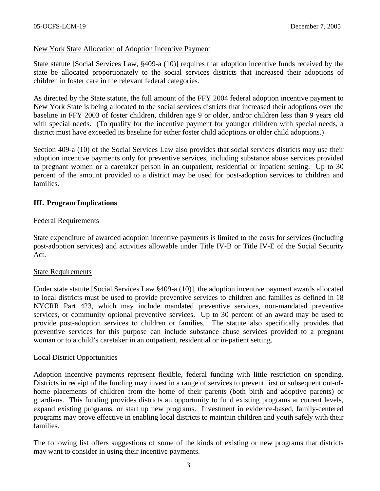#### New York State Allocation of Adoption Incentive Payment

State statute [Social Services Law, §409-a (10)] requires that adoption incentive funds received by the state be allocated proportionately to the social services districts that increased their adoptions of children in foster care in the relevant federal categories.

As directed by the State statute, the full amount of the FFY 2004 federal adoption incentive payment to New York State is being allocated to the social services districts that increased their adoptions over the baseline in FFY 2003 of foster children, children age 9 or older, and/or children less than 9 years old with special needs. (To qualify for the incentive payment for younger children with special needs, a district must have exceeded its baseline for either foster child adoptions or older child adoptions.)

Section 409-a (10) of the Social Services Law also provides that social services districts may use their adoption incentive payments only for preventive services, including substance abuse services provided to pregnant women or a caretaker person in an outpatient, residential or inpatient setting. Up to 30 percent of the amount provided to a district may be used for post-adoption services to children and families.

#### **III. Program Implications**

#### Federal Requirements

State expenditure of awarded adoption incentive payments is limited to the costs for services (including post-adoption services) and activities allowable under Title IV-B or Title IV-E of the Social Security Act.

#### State Requirements

Under state statute [Social Services Law §409-a (10)], the adoption incentive payment awards allocated to local districts must be used to provide preventive services to children and families as defined in 18 NYCRR Part 423, which may include mandated preventive services, non-mandated preventive services, or community optional preventive services. Up to 30 percent of an award may be used to provide post-adoption services to children or families. The statute also specifically provides that preventive services for this purpose can include substance abuse services provided to a pregnant woman or to a child's caretaker in an outpatient, residential or in-patient setting.

#### Local District Opportunities

Adoption incentive payments represent flexible, federal funding with little restriction on spending. Districts in receipt of the funding may invest in a range of services to prevent first or subsequent out-ofhome placements of children from the home of their parents (both birth and adoptive parents) or guardians. This funding provides districts an opportunity to fund existing programs at current levels, expand existing programs, or start up new programs. Investment in evidence-based, family-centered programs may prove effective in enabling local districts to maintain children and youth safely with their families.

The following list offers suggestions of some of the kinds of existing or new programs that districts may want to consider in using their incentive payments.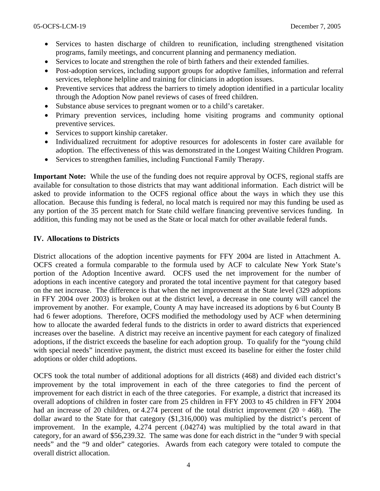- Services to hasten discharge of children to reunification, including strengthened visitation programs, family meetings, and concurrent planning and permanency mediation.
- Services to locate and strengthen the role of birth fathers and their extended families.
- Post-adoption services, including support groups for adoptive families, information and referral services, telephone helpline and training for clinicians in adoption issues.
- Preventive services that address the barriers to timely adoption identified in a particular locality through the Adoption Now panel reviews of cases of freed children.
- Substance abuse services to pregnant women or to a child's caretaker.
- Primary prevention services, including home visiting programs and community optional preventive services.
- Services to support kinship caretaker.
- Individualized recruitment for adoptive resources for adolescents in foster care available for adoption. The effectiveness of this was demonstrated in the Longest Waiting Children Program.
- Services to strengthen families, including Functional Family Therapy.

**Important Note:** While the use of the funding does not require approval by OCFS, regional staffs are available for consultation to those districts that may want additional information. Each district will be asked to provide information to the OCFS regional office about the ways in which they use this allocation. Because this funding is federal, no local match is required nor may this funding be used as any portion of the 35 percent match for State child welfare financing preventive services funding. In addition, this funding may not be used as the State or local match for other available federal funds.

#### **IV. Allocations to Districts**

District allocations of the adoption incentive payments for FFY 2004 are listed in Attachment A. OCFS created a formula comparable to the formula used by ACF to calculate New York State's portion of the Adoption Incentive award. OCFS used the net improvement for the number of adoptions in each incentive category and prorated the total incentive payment for that category based on the net increase. The difference is that when the net improvement at the State level (329 adoptions in FFY 2004 over 2003) is broken out at the district level, a decrease in one county will cancel the improvement by another. For example, County A may have increased its adoptions by 6 but County B had 6 fewer adoptions. Therefore, OCFS modified the methodology used by ACF when determining how to allocate the awarded federal funds to the districts in order to award districts that experienced increases over the baseline. A district may receive an incentive payment for each category of finalized adoptions, if the district exceeds the baseline for each adoption group. To qualify for the "young child with special needs" incentive payment, the district must exceed its baseline for either the foster child adoptions or older child adoptions.

OCFS took the total number of additional adoptions for all districts (468) and divided each district's improvement by the total improvement in each of the three categories to find the percent of improvement for each district in each of the three categories. For example, a district that increased its overall adoptions of children in foster care from 25 children in FFY 2003 to 45 children in FFY 2004 had an increase of 20 children, or 4.274 percent of the total district improvement (20  $\div$  468). The dollar award to the State for that category (\$1,316,000) was multiplied by the district's percent of improvement. In the example, 4.274 percent (.04274) was multiplied by the total award in that category, for an award of \$56,239.32. The same was done for each district in the "under 9 with special needs" and the "9 and older" categories. Awards from each category were totaled to compute the overall district allocation.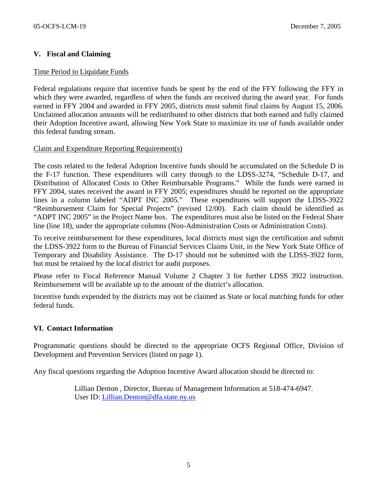## **V. Fiscal and Claiming**

#### Time Period to Liquidate Funds

Federal regulations require that incentive funds be spent by the end of the FFY following the FFY in which they were awarded, regardless of when the funds are received during the award year. For funds earned in FFY 2004 and awarded in FFY 2005, districts must submit final claims by August 15, 2006. Unclaimed allocation amounts will be redistributed to other districts that both earned and fully claimed their Adoption Incentive award, allowing New York State to maximize its use of funds available under this federal funding stream.

#### Claim and Expenditure Reporting Requirement(s)

The costs related to the federal Adoption Incentive funds should be accumulated on the Schedule D in the F-17 function. These expenditures will carry through to the LDSS-3274, "Schedule D-17, and Distribution of Allocated Costs to Other Reimbursable Programs." While the funds were earned in FFY 2004, states received the award in FFY 2005; expenditures should be reported on the appropriate lines in a column labeled "ADPT INC 2005." These expenditures will support the LDSS-3922 "Reimbursement Claim for Special Projects" (revised 12/00).Each claim should be identified as "ADPT INC 2005" in the Project Name box. The expenditures must also be listed on the Federal Share line (line 18), under the appropriate columns (Non-Administration Costs or Administration Costs).

To receive reimbursement for these expenditures, local districts must sign the certification and submit the LDSS-3922 form to the Bureau of Financial Services Claims Unit, in the New York State Office of Temporary and Disability Assistance. The D-17 should not be submitted with the LDSS-3922 form, but must be retained by the local district for audit purposes.

Please refer to Fiscal Reference Manual Volume 2 Chapter 3 for further LDSS 3922 instruction. Reimbursement will be available up to the amount of the district's allocation.

Incentive funds expended by the districts may not be claimed as State or local matching funds for other federal funds.

#### **VI. Contact Information**

Programmatic questions should be directed to the appropriate OCFS Regional Office, Division of Development and Prevention Services (listed on page 1).

Any fiscal questions regarding the Adoption Incentive Award allocation should be directed to:

 Lillian Denton , Director, Bureau of Management Information at 518-474-6947. User ID: [Lillian.Denton@dfa.state.ny.us](mailto:Lillian.Denton@dfa.state.ny.us)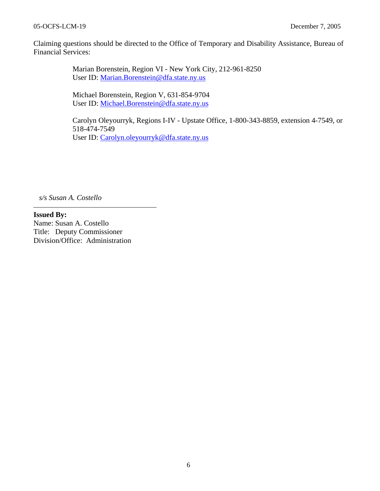#### 05-OCFS-LCM-19 December 7, 2005

Claiming questions should be directed to the Office of Temporary and Disability Assistance, Bureau of Financial Services:

> Marian Borenstein, Region VI - New York City, 212-961-8250 User ID: [Marian.Borenstein@dfa.state.ny.us](mailto:Marian.Borenstein@dfa.state.ny.us)

Michael Borenstein, Region V, 631-854-9704 User ID: [Michael.Borenstein@dfa.state.ny.us](mailto:Michael.Borenstein@dfa.state.ny.us)

Carolyn Oleyourryk, Regions I-IV - Upstate Office, 1-800-343-8859, extension 4-7549, or 518-474-7549 User ID: [Carolyn.oleyourryk@dfa.state.ny.us](mailto:Carolyn.oleyourryk@dfa.state.ny.us)

*s/s Susan A. Costello*

**Issued By:**  Name: Susan A. Costello Title: Deputy Commissioner Division/Office: Administration

6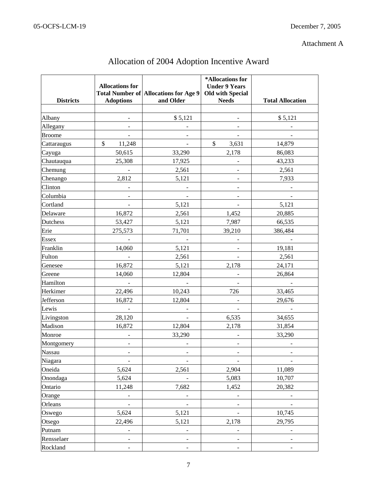# Attachment A

| <b>Districts</b> | <b>Allocations for</b><br><b>Adoptions</b> | Total Number of Allocations for Age 9<br>and Older | *Allocations for<br><b>Under 9 Years</b><br><b>Old with Special</b><br><b>Needs</b> | <b>Total Allocation</b>  |
|------------------|--------------------------------------------|----------------------------------------------------|-------------------------------------------------------------------------------------|--------------------------|
|                  |                                            |                                                    |                                                                                     |                          |
| Albany           |                                            | \$5,121                                            | $\overline{\phantom{a}}$                                                            | \$5,121                  |
| Allegany         | $\qquad \qquad \blacksquare$               | $\overline{\phantom{0}}$                           | $\qquad \qquad \blacksquare$                                                        |                          |
| <b>Broome</b>    |                                            |                                                    |                                                                                     |                          |
| Cattaraugus      | \$<br>11,248                               |                                                    | \$<br>3,631                                                                         | 14,879                   |
| Cayuga           | 50,615                                     | 33,290                                             | 2,178                                                                               | 86,083                   |
| Chautauqua       | 25,308                                     | 17,925                                             |                                                                                     | 43,233                   |
| Chemung          |                                            | 2,561                                              | $\blacksquare$                                                                      | 2,561                    |
| Chenango         | 2,812                                      | 5,121                                              | $\qquad \qquad \blacksquare$                                                        | 7,933                    |
| Clinton          |                                            |                                                    |                                                                                     |                          |
| Columbia         |                                            |                                                    |                                                                                     |                          |
| Cortland         |                                            | 5,121                                              |                                                                                     | 5,121                    |
| Delaware         | 16,872                                     | 2,561                                              | 1,452                                                                               | 20,885                   |
| Dutchess         | 53,427                                     | 5,121                                              | 7,987                                                                               | 66,535                   |
| Erie             | 275,573                                    | 71,701                                             | 39,210                                                                              | 386,484                  |
| <b>Essex</b>     |                                            |                                                    |                                                                                     |                          |
| Franklin         | 14,060                                     | 5,121                                              |                                                                                     | 19,181                   |
| Fulton           |                                            | 2,561                                              |                                                                                     | 2,561                    |
| Genesee          | 16,872                                     | 5,121                                              | 2,178                                                                               | 24,171                   |
| Greene           | 14,060                                     | 12,804                                             |                                                                                     | 26,864                   |
| Hamilton         | $\blacksquare$                             | $\overline{\phantom{a}}$                           | $\overline{\phantom{0}}$                                                            |                          |
| Herkimer         | 22,496                                     | 10,243                                             | 726                                                                                 | 33,465                   |
| Jefferson        | 16,872                                     | 12,804                                             |                                                                                     | 29,676                   |
| Lewis            | $\equiv$                                   |                                                    |                                                                                     |                          |
| Livingston       | 28,120                                     |                                                    | 6,535                                                                               | 34,655                   |
| Madison          | 16,872                                     | 12,804                                             | 2,178                                                                               | 31,854                   |
| Monroe           | $\overline{\phantom{a}}$                   | 33,290                                             | $\qquad \qquad \blacksquare$                                                        | 33,290                   |
| Montgomery       |                                            |                                                    |                                                                                     |                          |
| Nassau           |                                            |                                                    |                                                                                     |                          |
| Niagara          |                                            | -                                                  |                                                                                     |                          |
| Oneida           | 5,624                                      | 2,561                                              | 2,904                                                                               | 11,089                   |
| Onondaga         | 5,624                                      |                                                    | 5,083                                                                               | 10,707                   |
| Ontario          | 11,248                                     | 7,682                                              | 1,452                                                                               | 20,382                   |
| Orange           |                                            |                                                    |                                                                                     |                          |
| Orleans          | $\blacksquare$                             | $\frac{1}{2}$                                      | $\frac{1}{2}$                                                                       | $\overline{\phantom{a}}$ |
| Oswego           | 5,624                                      | 5,121                                              | $\overline{\phantom{a}}$                                                            | 10,745                   |
| Otsego           | 22,496                                     | 5,121                                              | 2,178                                                                               | 29,795                   |
| Putnam           |                                            | $\frac{1}{2}$                                      | $\overline{\phantom{0}}$                                                            | $\overline{\phantom{a}}$ |
| Rensselaer       | $\blacksquare$                             | $\frac{1}{2}$                                      | $\qquad \qquad \blacksquare$                                                        | -                        |
| Rockland         | $\blacksquare$                             | $\overline{\phantom{0}}$                           |                                                                                     |                          |

# Allocation of 2004 Adoption Incentive Award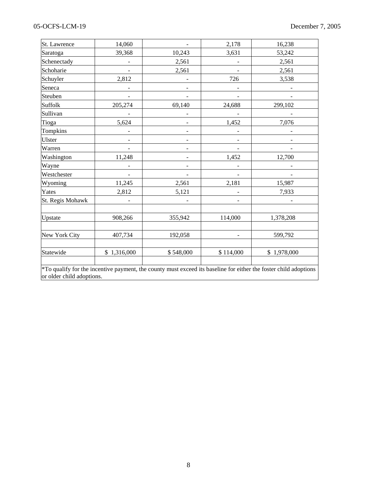## 05-OCFS-LCM-19 December 7, 2005

| St. Lawrence     | 14,060                                                                                                                                        |                          | 2,178                    | 16,238      |  |  |  |  |
|------------------|-----------------------------------------------------------------------------------------------------------------------------------------------|--------------------------|--------------------------|-------------|--|--|--|--|
| Saratoga         | 39,368                                                                                                                                        | 10,243                   | 3,631                    | 53,242      |  |  |  |  |
| Schenectady      |                                                                                                                                               | 2,561                    |                          | 2,561       |  |  |  |  |
| Schoharie        |                                                                                                                                               | 2,561                    |                          | 2,561       |  |  |  |  |
| Schuyler         | 2,812                                                                                                                                         | $\overline{\phantom{0}}$ | 726                      | 3,538       |  |  |  |  |
| Seneca           |                                                                                                                                               |                          |                          |             |  |  |  |  |
| Steuben          |                                                                                                                                               |                          |                          |             |  |  |  |  |
| Suffolk          | 205,274                                                                                                                                       | 69,140                   | 24,688                   | 299,102     |  |  |  |  |
| Sullivan         |                                                                                                                                               |                          |                          |             |  |  |  |  |
| Tioga            | 5,624                                                                                                                                         | $\overline{\phantom{a}}$ | 1,452                    | 7,076       |  |  |  |  |
| Tompkins         |                                                                                                                                               |                          |                          |             |  |  |  |  |
| Ulster           |                                                                                                                                               | $\overline{\phantom{a}}$ | $\overline{\phantom{a}}$ |             |  |  |  |  |
| Warren           |                                                                                                                                               | $\overline{\phantom{0}}$ |                          |             |  |  |  |  |
| Washington       | 11,248                                                                                                                                        | -                        | 1,452                    | 12,700      |  |  |  |  |
| Wayne            |                                                                                                                                               | $\overline{\phantom{a}}$ |                          |             |  |  |  |  |
| Westchester      |                                                                                                                                               |                          |                          |             |  |  |  |  |
| Wyoming          | 11,245                                                                                                                                        | 2,561                    | 2,181                    | 15,987      |  |  |  |  |
| Yates            | 2,812                                                                                                                                         | 5,121                    |                          | 7,933       |  |  |  |  |
| St. Regis Mohawk |                                                                                                                                               |                          | -                        |             |  |  |  |  |
| Upstate          | 908,266                                                                                                                                       | 355,942                  | 114,000                  | 1,378,208   |  |  |  |  |
| New York City    | 407,734                                                                                                                                       | 192,058                  | ÷                        | 599,792     |  |  |  |  |
| Statewide        | \$1,316,000                                                                                                                                   | \$548,000                | \$114,000                | \$1,978,000 |  |  |  |  |
|                  | *To qualify for the incentive payment, the county must exceed its baseline for either the foster child adoptions<br>or older child adoptions. |                          |                          |             |  |  |  |  |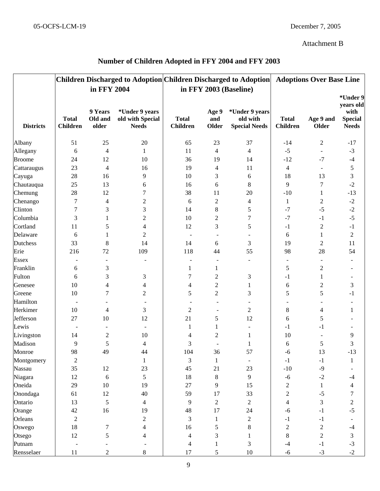# Attachment B

|                  | Children Discharged to Adoption Children Discharged to Adoption<br>in FFY 2004 |                             |                                                    |                                 |                          | in FFY 2003 (Baseline)                             | <b>Adoptions Over Base Line</b> |                           |                                                                 |
|------------------|--------------------------------------------------------------------------------|-----------------------------|----------------------------------------------------|---------------------------------|--------------------------|----------------------------------------------------|---------------------------------|---------------------------|-----------------------------------------------------------------|
| <b>Districts</b> | <b>Total</b><br><b>Children</b>                                                | 9 Years<br>Old and<br>older | *Under 9 years<br>old with Special<br><b>Needs</b> | <b>Total</b><br><b>Children</b> | Age 9<br>and<br>Older    | *Under 9 years<br>old with<br><b>Special Needs</b> | <b>Total</b><br><b>Children</b> | Age 9 and<br><b>Older</b> | *Under 9<br>years old<br>with<br><b>Special</b><br><b>Needs</b> |
| Albany           | 51                                                                             | 25                          | 20                                                 | 65                              | 23                       | 37                                                 | $-14$                           | $\overline{c}$            | $-17$                                                           |
| Allegany         | 6                                                                              | 4                           | 1                                                  | 11                              | $\overline{\mathcal{L}}$ | 4                                                  | $-5$                            | $\overline{\phantom{a}}$  | $-3$                                                            |
| <b>Broome</b>    | 24                                                                             | 12                          | 10                                                 | 36                              | 19                       | 14                                                 | $-12$                           | $-7$                      | $-4$                                                            |
| Cattaraugus      | 23                                                                             | $\overline{4}$              | 16                                                 | 19                              | 4                        | 11                                                 | 4                               |                           | 5                                                               |
| Cayuga           | 28                                                                             | 16                          | 9                                                  | 10                              | 3                        | 6                                                  | 18                              | 13                        | $\mathfrak{Z}$                                                  |
| Chautauqua       | 25                                                                             | 13                          | 6                                                  | 16                              | 6                        | 8                                                  | 9                               | $\boldsymbol{7}$          | $-2$                                                            |
| Chemung          | 28                                                                             | 12                          | 7                                                  | 38                              | 11                       | 20                                                 | $-10$                           | $\mathbf{1}$              | $-13$                                                           |
| Chenango         | 7                                                                              | 4                           | $\mathbf{2}$                                       | 6                               | $\overline{c}$           | 4                                                  | $\mathbf{1}$                    | $\overline{c}$            | $\mbox{-}2$                                                     |
| Clinton          | 7                                                                              | 3                           | 3                                                  | 14                              | 8                        | 5                                                  | $-7$                            | $-5$                      | $-2$                                                            |
| Columbia         | 3                                                                              | 1                           | $\boldsymbol{2}$                                   | 10                              | $\overline{2}$           | 7                                                  | $-7$                            | $-1$                      | $-5$                                                            |
| Cortland         | 11                                                                             | 5                           | 4                                                  | 12                              | 3                        | 5                                                  | $-1$                            | $\boldsymbol{2}$          | $^{\rm -1}$                                                     |
| Delaware         | 6                                                                              | 1                           | $\overline{c}$                                     |                                 |                          |                                                    | 6                               | $\mathbf{1}$              | $\sqrt{2}$                                                      |
| Dutchess         | 33                                                                             | $\,8\,$                     | 14                                                 | 14                              | 6                        | 3                                                  | 19                              | $\overline{c}$            | 11                                                              |
| Erie             | 216                                                                            | 72                          | 109                                                | 118                             | 44                       | 55                                                 | 98                              | 28                        | 54                                                              |
| <b>Essex</b>     |                                                                                |                             |                                                    | $\overline{\phantom{a}}$        | $\sim$                   | $\overline{\phantom{a}}$                           | $\overline{\phantom{a}}$        | $\sim$                    |                                                                 |
| Franklin         | 6                                                                              | 3                           |                                                    | 1                               | 1                        |                                                    | $\mathfrak s$                   | $\mathfrak{2}$            |                                                                 |
| Fulton           | 6                                                                              | 3                           | 3                                                  | 7                               | 2                        | 3                                                  | $-1$                            | 1                         |                                                                 |
| Genesee          | 10                                                                             | 4                           | 4                                                  | 4                               | $\overline{2}$           | 1                                                  | 6                               | $\mathfrak{2}$            | 3                                                               |
| Greene           | 10                                                                             | 7                           | $\overline{c}$                                     | 5                               | $\overline{c}$           | 3                                                  | 5                               | 5                         | $-1$                                                            |
| Hamilton         |                                                                                |                             |                                                    |                                 |                          |                                                    |                                 |                           |                                                                 |
| Herkimer         | 10                                                                             | 4                           | 3                                                  | $\overline{2}$                  | $\blacksquare$           | 2                                                  | $8\,$                           | 4                         | $\mathbf{1}$                                                    |
| Jefferson        | 27                                                                             | 10                          | 12                                                 | 21                              | 5                        | 12                                                 | 6                               | 5                         |                                                                 |
| Lewis            | $\overline{\phantom{a}}$                                                       |                             |                                                    | 1                               | $\mathbf{1}$             |                                                    | $-1$                            | $-1$                      |                                                                 |
| Livingston       | 14                                                                             | $\mathfrak 2$               | 10                                                 | 4                               | $\overline{2}$           | 1                                                  | 10                              |                           | 9                                                               |
| Madison          | 9                                                                              | 5                           | 4                                                  | 3                               |                          | 1                                                  | 6                               | 5                         | 3                                                               |
| Monroe           | 98                                                                             | 49                          | 44                                                 | 104                             | 36                       | 57                                                 | $-6$                            | 13                        | $-13$                                                           |
| Montgomery       | $\boldsymbol{2}$                                                               |                             | 1                                                  | 3                               | $\mathbf{1}$             | $\overline{\phantom{a}}$                           | $-1$                            | $-1$                      | $\mathbf{1}$                                                    |
| Nassau           | 35                                                                             | 12                          | 23                                                 | 45                              | 21                       | 23                                                 | $-10$                           | $-9$                      |                                                                 |
| Niagara          | 12                                                                             | 6                           | 5                                                  | 18                              | $8\,$                    | 9                                                  | $-6$                            | $-2$                      | $-4$                                                            |
| Oneida           | 29                                                                             | 10                          | 19                                                 | 27                              | 9                        | 15                                                 | $\mathfrak 2$                   | 1                         | 4                                                               |
| Onondaga         | 61                                                                             | 12                          | 40                                                 | 59                              | 17                       | 33                                                 | $\boldsymbol{2}$                | $-5$                      | 7                                                               |
| Ontario          | 13                                                                             | 5                           | 4                                                  | 9                               | $\overline{2}$           | $\overline{c}$                                     | 4                               | 3                         | $\overline{c}$                                                  |
| Orange           | 42                                                                             | 16                          | 19                                                 | 48                              | 17                       | 24                                                 | $-6$                            | $-1$                      | $-5$                                                            |
| Orleans          | $\overline{2}$                                                                 |                             | $\overline{c}$                                     | 3                               | 1                        | $\overline{c}$                                     | $-1$                            | $-1$                      |                                                                 |
| Oswego           | 18                                                                             | 7                           | 4                                                  | 16                              | 5                        | 8                                                  | $\mathfrak 2$                   | $\overline{c}$            | $-4$                                                            |
| Otsego           | 12                                                                             | 5                           | 4                                                  | 4                               | 3                        | 1                                                  | $8\,$                           | $\overline{2}$            | 3                                                               |
| Putnam           |                                                                                |                             |                                                    | 4                               | 1                        | 3                                                  | $-4$                            | $-1$                      | $-3$                                                            |
| Rensselaer       | 11                                                                             | 2                           | 8                                                  | 17                              | 5                        | $10\,$                                             | $-6$                            | $-3$                      | $-2$                                                            |

# **Number of Children Adopted in FFY 2004 and FFY 2003**